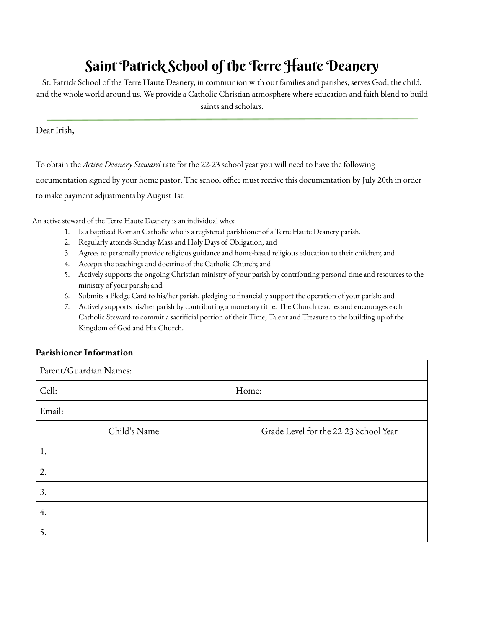## Saint Patrick School of the Terre Haute Deanery

St. Patrick School of the Terre Haute Deanery, in communion with our families and parishes, serves God, the child, and the whole world around us. We provide a Catholic Christian atmosphere where education and faith blend to build saints and scholars.

## Dear Irish,

To obtain the *Active Deanery Steward* rate for the 22-23 school year you will need to have the following documentation signed by your home pastor. The school office must receive this documentation by July 20th in order

to make payment adjustments by August 1st.

An active steward of the Terre Haute Deanery is an individual who:

- 1. Is a baptized Roman Catholic who is a registered parishioner of a Terre Haute Deanery parish.
- 2. Regularly attends Sunday Mass and Holy Days of Obligation; and
- 3. Agrees to personally provide religious guidance and home-based religious education to their children; and
- 4. Accepts the teachings and doctrine of the Catholic Church; and
- 5. Actively supports the ongoing Christian ministry of your parish by contributing personal time and resources to the ministry of your parish; and
- 6. Submits a Pledge Card to his/her parish, pledging to financially support the operation of your parish; and
- 7. Actively supports his/her parish by contributing a monetary tithe. The Church teaches and encourages each Catholic Steward to commit a sacrificial portion of their Time, Talent and Treasure to the building up of the Kingdom of God and His Church.

## **Parishioner Information**

| Parent/Guardian Names: |                                       |
|------------------------|---------------------------------------|
| Cell:                  | Home:                                 |
| Email:                 |                                       |
| Child's Name           | Grade Level for the 22-23 School Year |
| 1.                     |                                       |
| 2.                     |                                       |
| 3.                     |                                       |
| 4.                     |                                       |
| 5.                     |                                       |